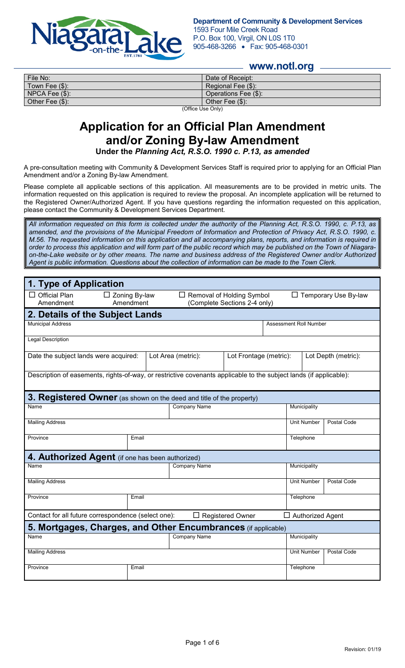

**Department of Community & Development Services** 1593 Four Mile Creek Road P.O. Box 100, Virgil, ON L0S 1T0 905-468-3266 • Fax: 905-468-0301

#### **www.notl.org**

| File No:            | Date of Receipt:     |  |  |
|---------------------|----------------------|--|--|
| Town Fee $(\$)$ :   | Regional Fee (\$):   |  |  |
| $NPCA$ Fee $(\$)$ : | Operations Fee (\$): |  |  |
| Other Fee (\$):     | Other Fee $(\$)$ :   |  |  |
| $   -$<br>.         |                      |  |  |

(Office Use Only)

# **Application for an Official Plan Amendment and/or Zoning By-law Amendment**

**Under the** *Planning Act, R.S.O. 1990 c. P.13, as amended*

A pre-consultation meeting with Community & Development Services Staff is required prior to applying for an Official Plan Amendment and/or a Zoning By-law Amendment.

Please complete all applicable sections of this application. All measurements are to be provided in metric units. The information requested on this application is required to review the proposal. An incomplete application will be returned to the Registered Owner/Authorized Agent. If you have questions regarding the information requested on this application, please contact the Community & Development Services Department.

*All information requested on this form is collected under the authority of the Planning Act, R.S.O. 1990, c. P.13, as amended, and the provisions of the Municipal Freedom of Information and Protection of Privacy Act, R.S.O. 1990, c. M.56. The requested information on this application and all accompanying plans, reports, and information is required in order to process this application and will form part of the public record which may be published on the Town of Niagaraon-the-Lake website or by other means. The name and business address of the Registered Owner and/or Authorized Agent is public information. Questions about the collection of information can be made to the Town Clerk.*

| 1. Type of Application                                                                                             |                                                                                                       |                     |  |                                          |                             |             |
|--------------------------------------------------------------------------------------------------------------------|-------------------------------------------------------------------------------------------------------|---------------------|--|------------------------------------------|-----------------------------|-------------|
| $\Box$ Official Plan<br>Amendment                                                                                  | $\Box$ Zoning By-law<br>$\Box$ Removal of Holding Symbol<br>(Complete Sections 2-4 only)<br>Amendment |                     |  |                                          | $\Box$ Temporary Use By-law |             |
| 2. Details of the Subject Lands                                                                                    |                                                                                                       |                     |  |                                          |                             |             |
| <b>Municipal Address</b>                                                                                           | <b>Assessment Roll Number</b>                                                                         |                     |  |                                          |                             |             |
| <b>Legal Description</b>                                                                                           |                                                                                                       |                     |  |                                          |                             |             |
| Lot Area (metric):<br>Date the subject lands were acquired:<br>Lot Frontage (metric):                              |                                                                                                       |                     |  | Lot Depth (metric):                      |                             |             |
| Description of easements, rights-of-way, or restrictive covenants applicable to the subject lands (if applicable): |                                                                                                       |                     |  |                                          |                             |             |
| 3. Registered Owner (as shown on the deed and title of the property)                                               |                                                                                                       |                     |  |                                          |                             |             |
| <b>Company Name</b><br>Name                                                                                        |                                                                                                       |                     |  | Municipality                             |                             |             |
| <b>Mailing Address</b>                                                                                             |                                                                                                       |                     |  | <b>Unit Number</b><br><b>Postal Code</b> |                             |             |
| Province<br>Email                                                                                                  |                                                                                                       |                     |  | Telephone                                |                             |             |
| 4. Authorized Agent (if one has been authorized)                                                                   |                                                                                                       |                     |  |                                          |                             |             |
| <b>Company Name</b><br>Name                                                                                        |                                                                                                       |                     |  | Municipality                             |                             |             |
| <b>Mailing Address</b>                                                                                             |                                                                                                       |                     |  | <b>Unit Number</b>                       | Postal Code                 |             |
| Province                                                                                                           | Email                                                                                                 |                     |  |                                          | Telephone                   |             |
| Contact for all future correspondence (select one):<br>$\Box$ Registered Owner<br>$\Box$ Authorized Agent          |                                                                                                       |                     |  |                                          |                             |             |
| 5. Mortgages, Charges, and Other Encumbrances (if applicable)                                                      |                                                                                                       |                     |  |                                          |                             |             |
| Name                                                                                                               |                                                                                                       | <b>Company Name</b> |  |                                          | Municipality                |             |
| <b>Mailing Address</b>                                                                                             |                                                                                                       |                     |  |                                          | <b>Unit Number</b>          | Postal Code |
| Province                                                                                                           | Email                                                                                                 |                     |  |                                          | Telephone                   |             |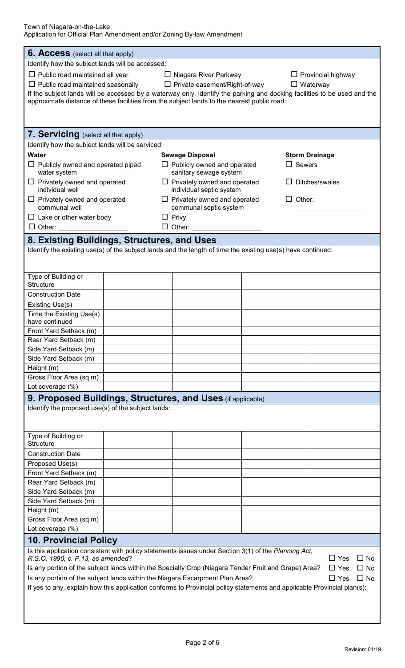| <b>6. Access</b> (select all that apply)                                                       |                                                                                                                                 |  |  |  |
|------------------------------------------------------------------------------------------------|---------------------------------------------------------------------------------------------------------------------------------|--|--|--|
| Identify how the subject lands will be accessed:                                               |                                                                                                                                 |  |  |  |
| $\Box$ Public road maintained all year<br>□ Niagara River Parkway<br>$\Box$ Provincial highway |                                                                                                                                 |  |  |  |
| $\Box$ Public road maintained seasonally $\Box$ Private easement/Right-of-way                  | $\Box$ Waterway                                                                                                                 |  |  |  |
|                                                                                                | If the subject lands will be accessed by a waterway only, identify the parking and docking facilities to be used and the        |  |  |  |
|                                                                                                | approximate distance of these facilities from the subject lands to the nearest public road:                                     |  |  |  |
|                                                                                                |                                                                                                                                 |  |  |  |
|                                                                                                |                                                                                                                                 |  |  |  |
| 7. Servicing (select all that apply)                                                           |                                                                                                                                 |  |  |  |
| Identify how the subject lands will be serviced:                                               |                                                                                                                                 |  |  |  |
| <b>Water</b>                                                                                   | <b>Sewage Disposal</b><br><b>Storm Drainage</b>                                                                                 |  |  |  |
| $\Box$ Publicly owned and operated piped                                                       | $\Box$ Sewers<br>$\Box$ Publicly owned and operated                                                                             |  |  |  |
| water system                                                                                   | sanitary sewage system                                                                                                          |  |  |  |
| $\Box$ Privately owned and operated<br>individual well                                         | $\Box$ Privately owned and operated<br>Ditches/swales<br>individual septic system                                               |  |  |  |
| $\Box$ Privately owned and operated                                                            | $\Box$ Privately owned and operated<br>$\Box$ Other:                                                                            |  |  |  |
| communal well                                                                                  | communal septic system                                                                                                          |  |  |  |
| $\Box$ Lake or other water body                                                                | $\Box$ Privy                                                                                                                    |  |  |  |
| $\Box$ Other:                                                                                  | $\Box$ Other:                                                                                                                   |  |  |  |
| 8. Existing Buildings, Structures, and Uses                                                    |                                                                                                                                 |  |  |  |
|                                                                                                | Identify the existing use(s) of the subject lands and the length of time the existing use(s) have continued:                    |  |  |  |
|                                                                                                |                                                                                                                                 |  |  |  |
|                                                                                                |                                                                                                                                 |  |  |  |
| Type of Building or<br>Structure                                                               |                                                                                                                                 |  |  |  |
| <b>Construction Date</b>                                                                       |                                                                                                                                 |  |  |  |
| Existing Use(s)                                                                                |                                                                                                                                 |  |  |  |
| Time the Existing Use(s)                                                                       |                                                                                                                                 |  |  |  |
| have continued                                                                                 |                                                                                                                                 |  |  |  |
| Front Yard Setback (m)                                                                         |                                                                                                                                 |  |  |  |
| Rear Yard Setback (m)                                                                          |                                                                                                                                 |  |  |  |
| Side Yard Setback (m)                                                                          |                                                                                                                                 |  |  |  |
| Side Yard Setback (m)<br>Height (m)                                                            |                                                                                                                                 |  |  |  |
| Gross Floor Area (sq m)                                                                        |                                                                                                                                 |  |  |  |
| Lot coverage (%)                                                                               |                                                                                                                                 |  |  |  |
| <b>9. Proposed Buildings, Structures, and Uses</b> (if applicable)                             |                                                                                                                                 |  |  |  |
| Identify the proposed use(s) of the subject lands:                                             |                                                                                                                                 |  |  |  |
|                                                                                                |                                                                                                                                 |  |  |  |
|                                                                                                |                                                                                                                                 |  |  |  |
| Type of Building or                                                                            |                                                                                                                                 |  |  |  |
| <b>Structure</b>                                                                               |                                                                                                                                 |  |  |  |
| <b>Construction Date</b>                                                                       |                                                                                                                                 |  |  |  |
| Proposed Use(s)                                                                                |                                                                                                                                 |  |  |  |
| Front Yard Setback (m)<br>Rear Yard Setback (m)                                                |                                                                                                                                 |  |  |  |
| Side Yard Setback (m)                                                                          |                                                                                                                                 |  |  |  |
| Side Yard Setback (m)                                                                          |                                                                                                                                 |  |  |  |
| Height (m)                                                                                     |                                                                                                                                 |  |  |  |
| Gross Floor Area (sq m)                                                                        |                                                                                                                                 |  |  |  |
| Lot coverage (%)                                                                               |                                                                                                                                 |  |  |  |
| <b>10. Provincial Policy</b>                                                                   |                                                                                                                                 |  |  |  |
|                                                                                                | Is this application consistent with policy statements issues under Section 3(1) of the Planning Act,                            |  |  |  |
| R.S.O. 1990, c. P.13, as amended?                                                              | $\Box$ Yes<br>$\Box$ No                                                                                                         |  |  |  |
|                                                                                                | Is any portion of the subject lands within the Specialty Crop (Niagara Tender Fruit and Grape) Area?<br>$\Box$ Yes<br>$\Box$ No |  |  |  |
| Is any portion of the subject lands within the Niagara Escarpment Plan Area?                   | $\Box$ No<br>$\Box$ Yes                                                                                                         |  |  |  |
|                                                                                                | If yes to any, explain how this application conforms to Provincial policy statements and applicable Provincial plan(s):         |  |  |  |
|                                                                                                |                                                                                                                                 |  |  |  |
|                                                                                                |                                                                                                                                 |  |  |  |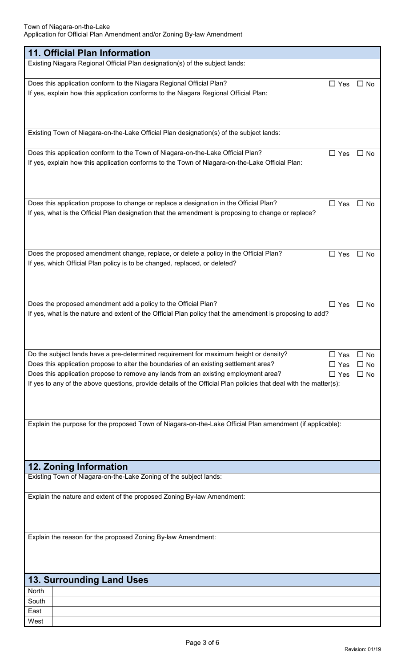| 11. Official Plan Information                                                                                                                                                      |            |           |
|------------------------------------------------------------------------------------------------------------------------------------------------------------------------------------|------------|-----------|
| Existing Niagara Regional Official Plan designation(s) of the subject lands:                                                                                                       |            |           |
|                                                                                                                                                                                    |            |           |
| Does this application conform to the Niagara Regional Official Plan?<br>If yes, explain how this application conforms to the Niagara Regional Official Plan:                       | $\Box$ Yes | $\Box$ No |
|                                                                                                                                                                                    |            |           |
|                                                                                                                                                                                    |            |           |
|                                                                                                                                                                                    |            |           |
| Existing Town of Niagara-on-the-Lake Official Plan designation(s) of the subject lands:                                                                                            |            |           |
|                                                                                                                                                                                    |            |           |
| Does this application conform to the Town of Niagara-on-the-Lake Official Plan?<br>If yes, explain how this application conforms to the Town of Niagara-on-the-Lake Official Plan: | $\Box$ Yes | $\Box$ No |
|                                                                                                                                                                                    |            |           |
|                                                                                                                                                                                    |            |           |
|                                                                                                                                                                                    |            |           |
| Does this application propose to change or replace a designation in the Official Plan?                                                                                             | $\Box$ Yes | $\Box$ No |
| If yes, what is the Official Plan designation that the amendment is proposing to change or replace?                                                                                |            |           |
|                                                                                                                                                                                    |            |           |
|                                                                                                                                                                                    |            |           |
| Does the proposed amendment change, replace, or delete a policy in the Official Plan?                                                                                              | $\Box$ Yes | $\Box$ No |
| If yes, which Official Plan policy is to be changed, replaced, or deleted?                                                                                                         |            |           |
|                                                                                                                                                                                    |            |           |
|                                                                                                                                                                                    |            |           |
|                                                                                                                                                                                    |            |           |
| Does the proposed amendment add a policy to the Official Plan?                                                                                                                     | $\Box$ Yes | $\Box$ No |
| If yes, what is the nature and extent of the Official Plan policy that the amendment is proposing to add?                                                                          |            |           |
|                                                                                                                                                                                    |            |           |
|                                                                                                                                                                                    |            |           |
| Do the subject lands have a pre-determined requirement for maximum height or density?                                                                                              | $\Box$ Yes | $\Box$ No |
| Does this application propose to alter the boundaries of an existing settlement area?                                                                                              | $\Box$ Yes | $\Box$ No |
| Does this application propose to remove any lands from an existing employment area?                                                                                                | $\Box$ Yes | $\Box$ No |
| If yes to any of the above questions, provide details of the Official Plan policies that deal with the matter(s):                                                                  |            |           |
|                                                                                                                                                                                    |            |           |
|                                                                                                                                                                                    |            |           |
| Explain the purpose for the proposed Town of Niagara-on-the-Lake Official Plan amendment (if applicable):                                                                          |            |           |
|                                                                                                                                                                                    |            |           |
|                                                                                                                                                                                    |            |           |
|                                                                                                                                                                                    |            |           |
| <b>12. Zoning Information</b>                                                                                                                                                      |            |           |
| Existing Town of Niagara-on-the-Lake Zoning of the subject lands:                                                                                                                  |            |           |
| Explain the nature and extent of the proposed Zoning By-law Amendment:                                                                                                             |            |           |
|                                                                                                                                                                                    |            |           |
|                                                                                                                                                                                    |            |           |
|                                                                                                                                                                                    |            |           |
| Explain the reason for the proposed Zoning By-law Amendment:                                                                                                                       |            |           |
|                                                                                                                                                                                    |            |           |
|                                                                                                                                                                                    |            |           |
|                                                                                                                                                                                    |            |           |
| <b>13. Surrounding Land Uses</b>                                                                                                                                                   |            |           |
| North                                                                                                                                                                              |            |           |
| South<br>East                                                                                                                                                                      |            |           |
| West                                                                                                                                                                               |            |           |
|                                                                                                                                                                                    |            |           |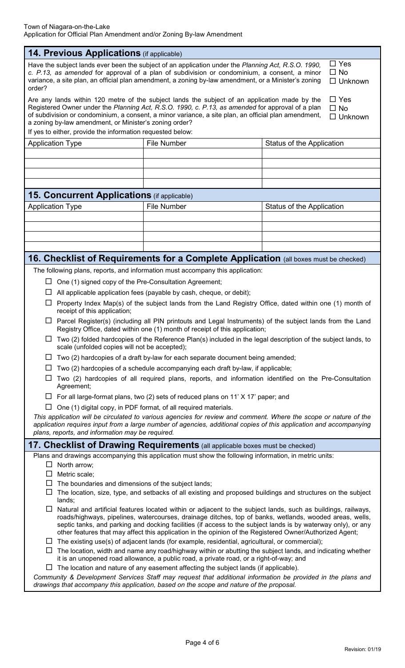| <b>14. Previous Applications</b> (if applicable)                                                                                                                                                                                                                                                                                                                                                                                                                |                                                                                                                                                                                                                                                                                                           |                                           |  |  |
|-----------------------------------------------------------------------------------------------------------------------------------------------------------------------------------------------------------------------------------------------------------------------------------------------------------------------------------------------------------------------------------------------------------------------------------------------------------------|-----------------------------------------------------------------------------------------------------------------------------------------------------------------------------------------------------------------------------------------------------------------------------------------------------------|-------------------------------------------|--|--|
| $\Box$ Yes<br>Have the subject lands ever been the subject of an application under the Planning Act, R.S.O. 1990,<br>c. P.13, as amended for approval of a plan of subdivision or condominium, a consent, a minor<br>$\Box$ No<br>variance, a site plan, an official plan amendment, a zoning by-law amendment, or a Minister's zoning<br>$\Box$ Unknown<br>order?                                                                                              |                                                                                                                                                                                                                                                                                                           |                                           |  |  |
| a zoning by-law amendment, or Minister's zoning order?                                                                                                                                                                                                                                                                                                                                                                                                          | Are any lands within 120 metre of the subject lands the subject of an application made by the<br>Registered Owner under the Planning Act, R.S.O. 1990, c. P.13, as amended for approval of a plan<br>of subdivision or condominium, a consent, a minor variance, a site plan, an official plan amendment, | $\Box$ Yes<br>$\Box$ No<br>$\Box$ Unknown |  |  |
| If yes to either, provide the information requested below:                                                                                                                                                                                                                                                                                                                                                                                                      |                                                                                                                                                                                                                                                                                                           |                                           |  |  |
| <b>File Number</b><br><b>Application Type</b><br>Status of the Application                                                                                                                                                                                                                                                                                                                                                                                      |                                                                                                                                                                                                                                                                                                           |                                           |  |  |
|                                                                                                                                                                                                                                                                                                                                                                                                                                                                 |                                                                                                                                                                                                                                                                                                           |                                           |  |  |
|                                                                                                                                                                                                                                                                                                                                                                                                                                                                 |                                                                                                                                                                                                                                                                                                           |                                           |  |  |
|                                                                                                                                                                                                                                                                                                                                                                                                                                                                 |                                                                                                                                                                                                                                                                                                           |                                           |  |  |
| <b>15. Concurrent Applications</b> (if applicable)                                                                                                                                                                                                                                                                                                                                                                                                              |                                                                                                                                                                                                                                                                                                           |                                           |  |  |
| <b>Application Type</b>                                                                                                                                                                                                                                                                                                                                                                                                                                         | <b>File Number</b>                                                                                                                                                                                                                                                                                        | Status of the Application                 |  |  |
|                                                                                                                                                                                                                                                                                                                                                                                                                                                                 |                                                                                                                                                                                                                                                                                                           |                                           |  |  |
|                                                                                                                                                                                                                                                                                                                                                                                                                                                                 |                                                                                                                                                                                                                                                                                                           |                                           |  |  |
|                                                                                                                                                                                                                                                                                                                                                                                                                                                                 |                                                                                                                                                                                                                                                                                                           |                                           |  |  |
|                                                                                                                                                                                                                                                                                                                                                                                                                                                                 |                                                                                                                                                                                                                                                                                                           |                                           |  |  |
|                                                                                                                                                                                                                                                                                                                                                                                                                                                                 | 16. Checklist of Requirements for a Complete Application (all boxes must be checked)                                                                                                                                                                                                                      |                                           |  |  |
|                                                                                                                                                                                                                                                                                                                                                                                                                                                                 | The following plans, reports, and information must accompany this application:                                                                                                                                                                                                                            |                                           |  |  |
| One (1) signed copy of the Pre-Consultation Agreement;<br>ப                                                                                                                                                                                                                                                                                                                                                                                                     |                                                                                                                                                                                                                                                                                                           |                                           |  |  |
| ⊔                                                                                                                                                                                                                                                                                                                                                                                                                                                               | All applicable application fees (payable by cash, cheque, or debit);                                                                                                                                                                                                                                      |                                           |  |  |
| ப                                                                                                                                                                                                                                                                                                                                                                                                                                                               | Property Index Map(s) of the subject lands from the Land Registry Office, dated within one (1) month of                                                                                                                                                                                                   |                                           |  |  |
| receipt of this application;                                                                                                                                                                                                                                                                                                                                                                                                                                    | $\Box$ Parcel Register(s) (including all PIN printouts and Legal Instruments) of the subject lands from the Land                                                                                                                                                                                          |                                           |  |  |
|                                                                                                                                                                                                                                                                                                                                                                                                                                                                 | Registry Office, dated within one (1) month of receipt of this application;<br>$\Box$ Two (2) folded hardcopies of the Reference Plan(s) included in the legal description of the subject lands, to                                                                                                       |                                           |  |  |
| ப                                                                                                                                                                                                                                                                                                                                                                                                                                                               | scale (unfolded copies will not be accepted);<br>Two (2) hardcopies of a draft by-law for each separate document being amended;                                                                                                                                                                           |                                           |  |  |
| ⊔                                                                                                                                                                                                                                                                                                                                                                                                                                                               | Two (2) hardcopies of a schedule accompanying each draft by-law, if applicable;                                                                                                                                                                                                                           |                                           |  |  |
| ப<br>Agreement;                                                                                                                                                                                                                                                                                                                                                                                                                                                 | Two (2) hardcopies of all required plans, reports, and information identified on the Pre-Consultation                                                                                                                                                                                                     |                                           |  |  |
|                                                                                                                                                                                                                                                                                                                                                                                                                                                                 | $\Box$ For all large-format plans, two (2) sets of reduced plans on 11' X 17' paper; and                                                                                                                                                                                                                  |                                           |  |  |
| ப                                                                                                                                                                                                                                                                                                                                                                                                                                                               | One (1) digital copy, in PDF format, of all required materials.                                                                                                                                                                                                                                           |                                           |  |  |
| This application will be circulated to various agencies for review and comment. Where the scope or nature of the<br>application requires input from a large number of agencies, additional copies of this application and accompanying<br>plans, reports, and information may be required.                                                                                                                                                                      |                                                                                                                                                                                                                                                                                                           |                                           |  |  |
|                                                                                                                                                                                                                                                                                                                                                                                                                                                                 | 17. Checklist of Drawing Requirements (all applicable boxes must be checked)                                                                                                                                                                                                                              |                                           |  |  |
|                                                                                                                                                                                                                                                                                                                                                                                                                                                                 | Plans and drawings accompanying this application must show the following information, in metric units:                                                                                                                                                                                                    |                                           |  |  |
| North arrow;<br>$\Box$                                                                                                                                                                                                                                                                                                                                                                                                                                          |                                                                                                                                                                                                                                                                                                           |                                           |  |  |
| Metric scale;<br>$\Box$                                                                                                                                                                                                                                                                                                                                                                                                                                         |                                                                                                                                                                                                                                                                                                           |                                           |  |  |
| $\Box$ The boundaries and dimensions of the subject lands;<br>The location, size, type, and setbacks of all existing and proposed buildings and structures on the subject<br>ப<br>lands;                                                                                                                                                                                                                                                                        |                                                                                                                                                                                                                                                                                                           |                                           |  |  |
| Natural and artificial features located within or adjacent to the subject lands, such as buildings, railways,<br>$\Box$<br>roads/highways, pipelines, watercourses, drainage ditches, top of banks, wetlands, wooded areas, wells,<br>septic tanks, and parking and docking facilities (if access to the subject lands is by waterway only), or any<br>other features that may affect this application in the opinion of the Registered Owner/Authorized Agent; |                                                                                                                                                                                                                                                                                                           |                                           |  |  |
|                                                                                                                                                                                                                                                                                                                                                                                                                                                                 | $\Box$ The existing use(s) of adjacent lands (for example, residential, agricultural, or commercial);                                                                                                                                                                                                     |                                           |  |  |
| The location, width and name any road/highway within or abutting the subject lands, and indicating whether<br>ப<br>it is an unopened road allowance, a public road, a private road, or a right-of-way; and                                                                                                                                                                                                                                                      |                                                                                                                                                                                                                                                                                                           |                                           |  |  |
| The location and nature of any easement affecting the subject lands (if applicable).<br>ப<br>Community & Development Services Staff may request that additional information be provided in the plans and                                                                                                                                                                                                                                                        |                                                                                                                                                                                                                                                                                                           |                                           |  |  |
| drawings that accompany this application, based on the scope and nature of the proposal.                                                                                                                                                                                                                                                                                                                                                                        |                                                                                                                                                                                                                                                                                                           |                                           |  |  |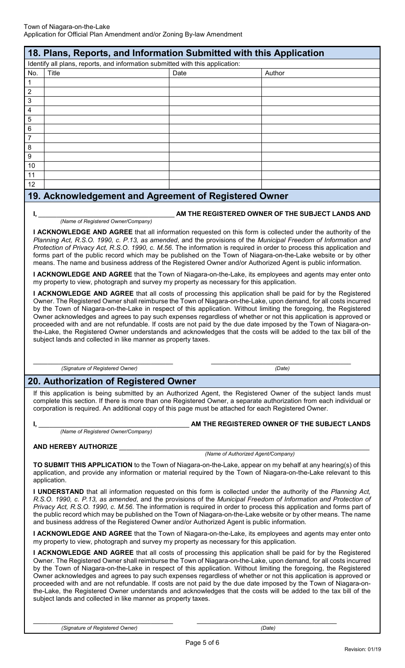| 18. Plans, Reports, and Information Submitted with this Application |                                                                               |      |        |  |
|---------------------------------------------------------------------|-------------------------------------------------------------------------------|------|--------|--|
|                                                                     | Identify all plans, reports, and information submitted with this application: |      |        |  |
| No.                                                                 | <b>Title</b>                                                                  | Date | Author |  |
|                                                                     |                                                                               |      |        |  |
| $\overline{2}$                                                      |                                                                               |      |        |  |
| $\mathbf{3}$                                                        |                                                                               |      |        |  |
| $\overline{\mathbf{4}}$                                             |                                                                               |      |        |  |
| $\sqrt{5}$                                                          |                                                                               |      |        |  |
| $6\phantom{1}6$                                                     |                                                                               |      |        |  |
| $\overline{7}$                                                      |                                                                               |      |        |  |
| $\, 8$                                                              |                                                                               |      |        |  |
| $\boldsymbol{9}$                                                    |                                                                               |      |        |  |
| 10                                                                  |                                                                               |      |        |  |
| 11                                                                  |                                                                               |      |        |  |
| 12                                                                  |                                                                               |      |        |  |
| 19. Acknowledgement and Agreement of Registered Owner               |                                                                               |      |        |  |
|                                                                     |                                                                               |      |        |  |

#### **AM THE REGISTERED OWNER OF THE SUBJECT LANDS AND**

 *(Name of Registered Owner/Company)*

**I ACKNOWLEDGE AND AGREE** that all information requested on this form is collected under the authority of the *Planning Act, R.S.O. 1990, c. P.13, as amended*, and the provisions of the *Municipal Freedom of Information and Protection of Privacy Act, R.S.O. 1990, c. M.56*. The information is required in order to process this application and forms part of the public record which may be published on the Town of Niagara-on-the-Lake website or by other means. The name and business address of the Registered Owner and/or Authorized Agent is public information.

**I ACKNOWLEDGE AND AGREE** that the Town of Niagara-on-the-Lake, its employees and agents may enter onto my property to view, photograph and survey my property as necessary for this application.

**I ACKNOWLEDGE AND AGREE** that all costs of processing this application shall be paid for by the Registered Owner. The Registered Owner shall reimburse the Town of Niagara-on-the-Lake, upon demand, for all costs incurred by the Town of Niagara-on-the-Lake in respect of this application. Without limiting the foregoing, the Registered Owner acknowledges and agrees to pay such expenses regardless of whether or not this application is approved or proceeded with and are not refundable. If costs are not paid by the due date imposed by the Town of Niagara-onthe-Lake, the Registered Owner understands and acknowledges that the costs will be added to the tax bill of the subject lands and collected in like manner as property taxes.

\_\_\_\_\_\_\_\_\_\_\_\_\_\_\_\_\_\_\_\_\_\_\_\_\_\_\_\_\_\_\_\_\_\_\_\_\_\_  *(Signature of Registered Owner)*

\_\_\_\_\_\_\_\_\_\_\_\_\_\_\_\_\_\_\_\_\_\_\_\_\_\_\_\_\_\_\_\_\_\_\_\_\_\_  *(Date)*

### **20. Authorization of Registered Owner**

If this application is being submitted by an Authorized Agent, the Registered Owner of the subject lands must complete this section. If there is more than one Registered Owner, a separate authorization from each individual or corporation is required. An additional copy of this page must be attached for each Registered Owner.

 *(Name of Registered Owner/Company)*

## AM THE REGISTERED OWNER OF THE SUBJECT LANDS

#### **AND HEREBY AUTHORIZE** \_\_\_\_\_\_\_\_\_\_\_\_\_\_\_\_\_\_\_\_\_\_\_\_\_\_\_\_\_\_\_\_\_\_\_\_\_\_\_\_\_\_\_\_\_\_\_\_\_\_\_\_\_\_\_\_\_\_\_\_\_\_\_\_\_\_\_\_

 *(Name of Authorized Agent/Company)*

**TO SUBMIT THIS APPLICATION** to the Town of Niagara-on-the-Lake, appear on my behalf at any hearing(s) of this application, and provide any information or material required by the Town of Niagara-on-the-Lake relevant to this application.

**I UNDERSTAND** that all information requested on this form is collected under the authority of the *Planning Act, R.S.O. 1990, c. P.13, as amended*, and the provisions of the *Municipal Freedom of Information and Protection of Privacy Act, R.S.O. 1990, c. M.56*. The information is required in order to process this application and forms part of the public record which may be published on the Town of Niagara-on-the-Lake website or by other means. The name and business address of the Registered Owner and/or Authorized Agent is public information.

**I ACKNOWLEDGE AND AGREE** that the Town of Niagara-on-the-Lake, its employees and agents may enter onto my property to view, photograph and survey my property as necessary for this application.

**I ACKNOWLEDGE AND AGREE** that all costs of processing this application shall be paid for by the Registered Owner. The Registered Owner shall reimburse the Town of Niagara-on-the-Lake, upon demand, for all costs incurred by the Town of Niagara-on-the-Lake in respect of this application. Without limiting the foregoing, the Registered Owner acknowledges and agrees to pay such expenses regardless of whether or not this application is approved or proceeded with and are not refundable. If costs are not paid by the due date imposed by the Town of Niagara-onthe-Lake, the Registered Owner understands and acknowledges that the costs will be added to the tax bill of the subject lands and collected in like manner as property taxes.